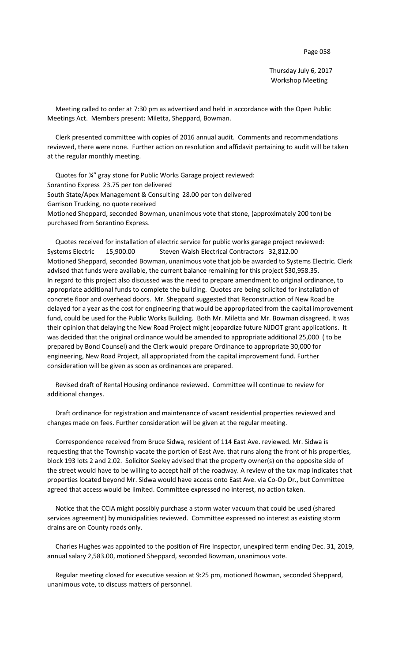Thursday July 6, 2017 Workshop Meeting

 Meeting called to order at 7:30 pm as advertised and held in accordance with the Open Public Meetings Act. Members present: Miletta, Sheppard, Bowman.

 Clerk presented committee with copies of 2016 annual audit. Comments and recommendations reviewed, there were none. Further action on resolution and affidavit pertaining to audit will be taken at the regular monthly meeting.

 Quotes for ¾" gray stone for Public Works Garage project reviewed: Sorantino Express 23.75 per ton delivered South State/Apex Management & Consulting 28.00 per ton delivered Garrison Trucking, no quote received Motioned Sheppard, seconded Bowman, unanimous vote that stone, (approximately 200 ton) be purchased from Sorantino Express.

 Quotes received for installation of electric service for public works garage project reviewed: Systems Electric 15,900.00 Steven Walsh Electrical Contractors 32,812.00 Motioned Sheppard, seconded Bowman, unanimous vote that job be awarded to Systems Electric. Clerk advised that funds were available, the current balance remaining for this project \$30,958.35. In regard to this project also discussed was the need to prepare amendment to original ordinance, to appropriate additional funds to complete the building. Quotes are being solicited for installation of concrete floor and overhead doors. Mr. Sheppard suggested that Reconstruction of New Road be delayed for a year as the cost for engineering that would be appropriated from the capital improvement fund, could be used for the Public Works Building. Both Mr. Miletta and Mr. Bowman disagreed. It was their opinion that delaying the New Road Project might jeopardize future NJDOT grant applications. It was decided that the original ordinance would be amended to appropriate additional 25,000 ( to be prepared by Bond Counsel) and the Clerk would prepare Ordinance to appropriate 30,000 for engineering, New Road Project, all appropriated from the capital improvement fund. Further consideration will be given as soon as ordinances are prepared.

 Revised draft of Rental Housing ordinance reviewed. Committee will continue to review for additional changes.

 Draft ordinance for registration and maintenance of vacant residential properties reviewed and changes made on fees. Further consideration will be given at the regular meeting.

 Correspondence received from Bruce Sidwa, resident of 114 East Ave. reviewed. Mr. Sidwa is requesting that the Township vacate the portion of East Ave. that runs along the front of his properties, block 193 lots 2 and 2.02. Solicitor Seeley advised that the property owner(s) on the opposite side of the street would have to be willing to accept half of the roadway. A review of the tax map indicates that properties located beyond Mr. Sidwa would have access onto East Ave. via Co-Op Dr., but Committee agreed that access would be limited. Committee expressed no interest, no action taken.

 Notice that the CCIA might possibly purchase a storm water vacuum that could be used (shared services agreement) by municipalities reviewed. Committee expressed no interest as existing storm drains are on County roads only.

 Charles Hughes was appointed to the position of Fire Inspector, unexpired term ending Dec. 31, 2019, annual salary 2,583.00, motioned Sheppard, seconded Bowman, unanimous vote.

 Regular meeting closed for executive session at 9:25 pm, motioned Bowman, seconded Sheppard, unanimous vote, to discuss matters of personnel.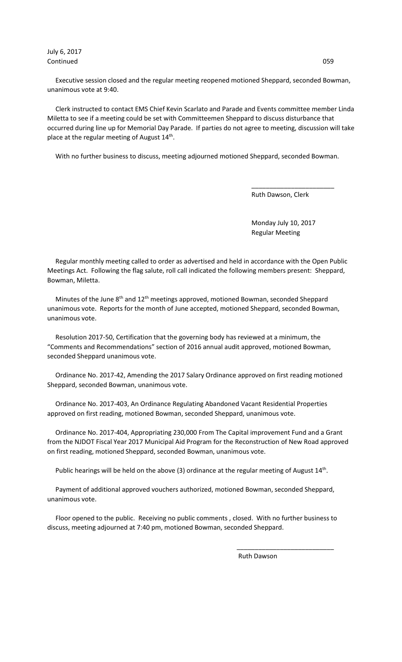July 6, 2017 Continued 059

 Executive session closed and the regular meeting reopened motioned Sheppard, seconded Bowman, unanimous vote at 9:40.

 Clerk instructed to contact EMS Chief Kevin Scarlato and Parade and Events committee member Linda Miletta to see if a meeting could be set with Committeemen Sheppard to discuss disturbance that occurred during line up for Memorial Day Parade. If parties do not agree to meeting, discussion will take place at the regular meeting of August  $14<sup>th</sup>$ .

With no further business to discuss, meeting adjourned motioned Sheppard, seconded Bowman.

 $\overline{\phantom{a}}$  , and the contract of the contract of the contract of the contract of the contract of the contract of the contract of the contract of the contract of the contract of the contract of the contract of the contrac

Ruth Dawson, Clerk

 Monday July 10, 2017 Regular Meeting

 Regular monthly meeting called to order as advertised and held in accordance with the Open Public Meetings Act. Following the flag salute, roll call indicated the following members present: Sheppard, Bowman, Miletta.

Minutes of the June  $8<sup>th</sup>$  and  $12<sup>th</sup>$  meetings approved, motioned Bowman, seconded Sheppard unanimous vote. Reports for the month of June accepted, motioned Sheppard, seconded Bowman, unanimous vote.

 Resolution 2017-50, Certification that the governing body has reviewed at a minimum, the "Comments and Recommendations" section of 2016 annual audit approved, motioned Bowman, seconded Sheppard unanimous vote.

 Ordinance No. 2017-42, Amending the 2017 Salary Ordinance approved on first reading motioned Sheppard, seconded Bowman, unanimous vote.

 Ordinance No. 2017-403, An Ordinance Regulating Abandoned Vacant Residential Properties approved on first reading, motioned Bowman, seconded Sheppard, unanimous vote.

 Ordinance No. 2017-404, Appropriating 230,000 From The Capital improvement Fund and a Grant from the NJDOT Fiscal Year 2017 Municipal Aid Program for the Reconstruction of New Road approved on first reading, motioned Sheppard, seconded Bowman, unanimous vote.

Public hearings will be held on the above (3) ordinance at the regular meeting of August 14<sup>th</sup>.

 Payment of additional approved vouchers authorized, motioned Bowman, seconded Sheppard, unanimous vote.

 Floor opened to the public. Receiving no public comments , closed. With no further business to discuss, meeting adjourned at 7:40 pm, motioned Bowman, seconded Sheppard.

 $\overline{\phantom{a}}$  , and the contract of the contract of the contract of the contract of the contract of the contract of the contract of the contract of the contract of the contract of the contract of the contract of the contrac

Ruth Dawson